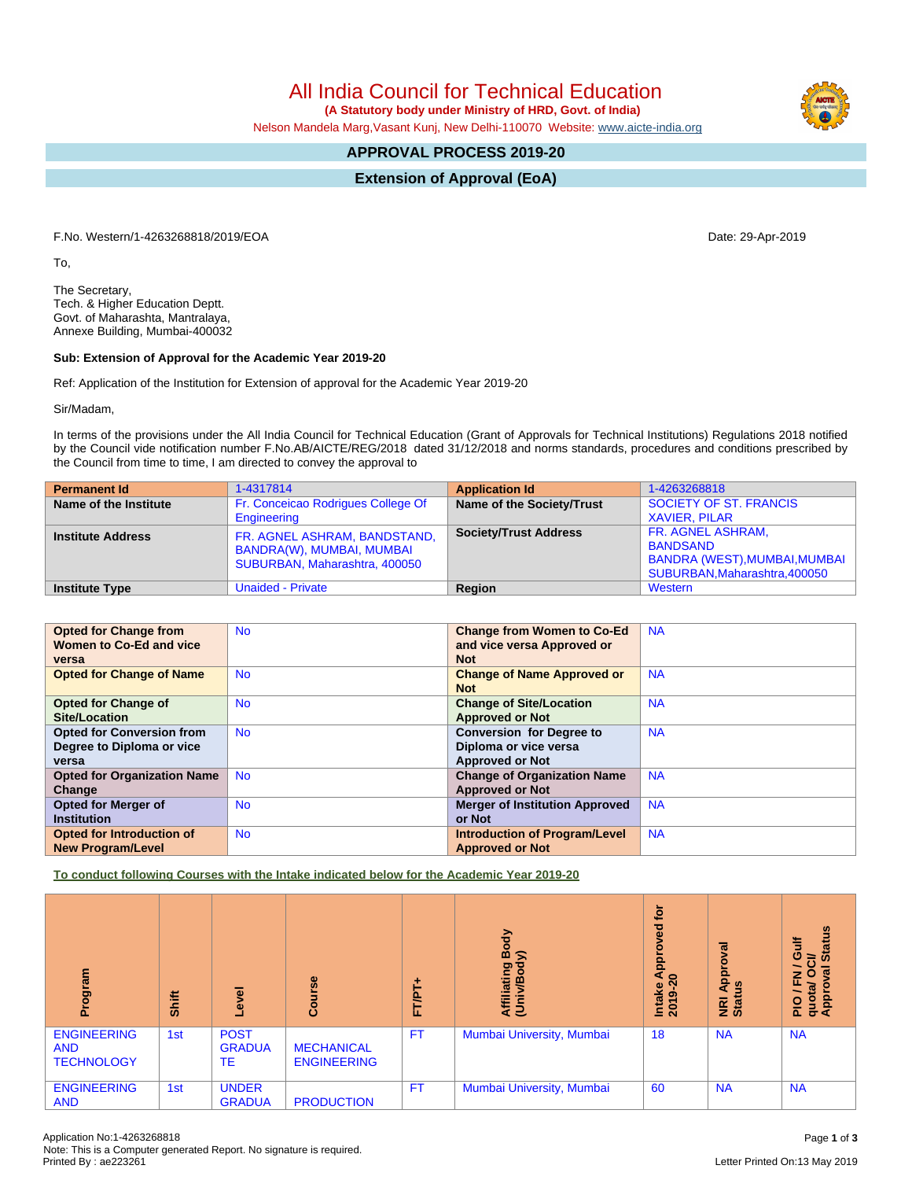All India Council for Technical Education

 **(A Statutory body under Ministry of HRD, Govt. of India)**

Nelson Mandela Marg,Vasant Kunj, New Delhi-110070 Website: [www.aicte-india.org](http://www.aicte-india.org)

# **APPROVAL PROCESS 2019-20**

**Extension of Approval (EoA)**

F.No. Western/1-4263268818/2019/EOA Date: 29-Apr-2019

To,

The Secretary, Tech. & Higher Education Deptt. Govt. of Maharashta, Mantralaya, Annexe Building, Mumbai-400032

#### **Sub: Extension of Approval for the Academic Year 2019-20**

Ref: Application of the Institution for Extension of approval for the Academic Year 2019-20

Sir/Madam,

In terms of the provisions under the All India Council for Technical Education (Grant of Approvals for Technical Institutions) Regulations 2018 notified by the Council vide notification number F.No.AB/AICTE/REG/2018 dated 31/12/2018 and norms standards, procedures and conditions prescribed by the Council from time to time, I am directed to convey the approval to

| <b>Permanent Id</b>      | 1-4317814                                                                                  | <b>Application Id</b>        | 1-4263268818                                                                                             |
|--------------------------|--------------------------------------------------------------------------------------------|------------------------------|----------------------------------------------------------------------------------------------------------|
| Name of the Institute    | Fr. Conceicao Rodrigues College Of<br>Engineering                                          | Name of the Society/Trust    | SOCIETY OF ST. FRANCIS<br><b>XAVIER, PILAR</b>                                                           |
| <b>Institute Address</b> | FR. AGNEL ASHRAM, BANDSTAND,<br>BANDRA(W), MUMBAI, MUMBAI<br>SUBURBAN, Maharashtra, 400050 | <b>Society/Trust Address</b> | FR. AGNEL ASHRAM,<br><b>BANDSAND</b><br>BANDRA (WEST), MUMBAI, MUMBAI  <br>SUBURBAN, Maharashtra, 400050 |
| <b>Institute Type</b>    | <b>Unaided - Private</b>                                                                   | Region                       | Western                                                                                                  |

| <b>Opted for Change from</b>       | <b>No</b> | <b>Change from Women to Co-Ed</b>     | <b>NA</b> |
|------------------------------------|-----------|---------------------------------------|-----------|
| Women to Co-Ed and vice            |           | and vice versa Approved or            |           |
| versa                              |           | <b>Not</b>                            |           |
| <b>Opted for Change of Name</b>    | <b>No</b> | <b>Change of Name Approved or</b>     | <b>NA</b> |
|                                    |           | <b>Not</b>                            |           |
| <b>Opted for Change of</b>         | <b>No</b> | <b>Change of Site/Location</b>        | <b>NA</b> |
| <b>Site/Location</b>               |           | <b>Approved or Not</b>                |           |
| <b>Opted for Conversion from</b>   | <b>No</b> | <b>Conversion for Degree to</b>       | <b>NA</b> |
| Degree to Diploma or vice          |           | Diploma or vice versa                 |           |
| versa                              |           | <b>Approved or Not</b>                |           |
| <b>Opted for Organization Name</b> | <b>No</b> | <b>Change of Organization Name</b>    | <b>NA</b> |
| Change                             |           | <b>Approved or Not</b>                |           |
| <b>Opted for Merger of</b>         | <b>No</b> | <b>Merger of Institution Approved</b> | <b>NA</b> |
| <b>Institution</b>                 |           | or Not                                |           |
| Opted for Introduction of          | <b>No</b> | <b>Introduction of Program/Level</b>  | <b>NA</b> |
| <b>New Program/Level</b>           |           | <b>Approved or Not</b>                |           |

**To conduct following Courses with the Intake indicated below for the Academic Year 2019-20**

| Program                                               | Shift | Level                              | rse<br>Cour                             | FT/PT+    | Body<br>⋦<br>Affiliating<br>(Univ/Bod | tor<br>yed<br>ē<br>Āppi<br>$\circ$<br>Intake<br>໑<br>201 | Approval<br>$\frac{5}{2}$<br><b>NRI</b> | <b>Status</b><br>₹<br>O<br>ఠె<br>$\circ$<br>œ<br>준<br>quota/<br>Approv<br><b>PIO</b> |
|-------------------------------------------------------|-------|------------------------------------|-----------------------------------------|-----------|---------------------------------------|----------------------------------------------------------|-----------------------------------------|--------------------------------------------------------------------------------------|
| <b>ENGINEERING</b><br><b>AND</b><br><b>TECHNOLOGY</b> | 1st   | <b>POST</b><br><b>GRADUA</b><br>TE | <b>MECHANICAL</b><br><b>ENGINEERING</b> | <b>FT</b> | Mumbai University, Mumbai             | 18                                                       | <b>NA</b>                               | <b>NA</b>                                                                            |
| <b>ENGINEERING</b><br><b>AND</b>                      | 1st   | <b>UNDER</b><br><b>GRADUA</b>      | <b>PRODUCTION</b>                       | <b>FT</b> | Mumbai University, Mumbai             | 60                                                       | <b>NA</b>                               | <b>NA</b>                                                                            |

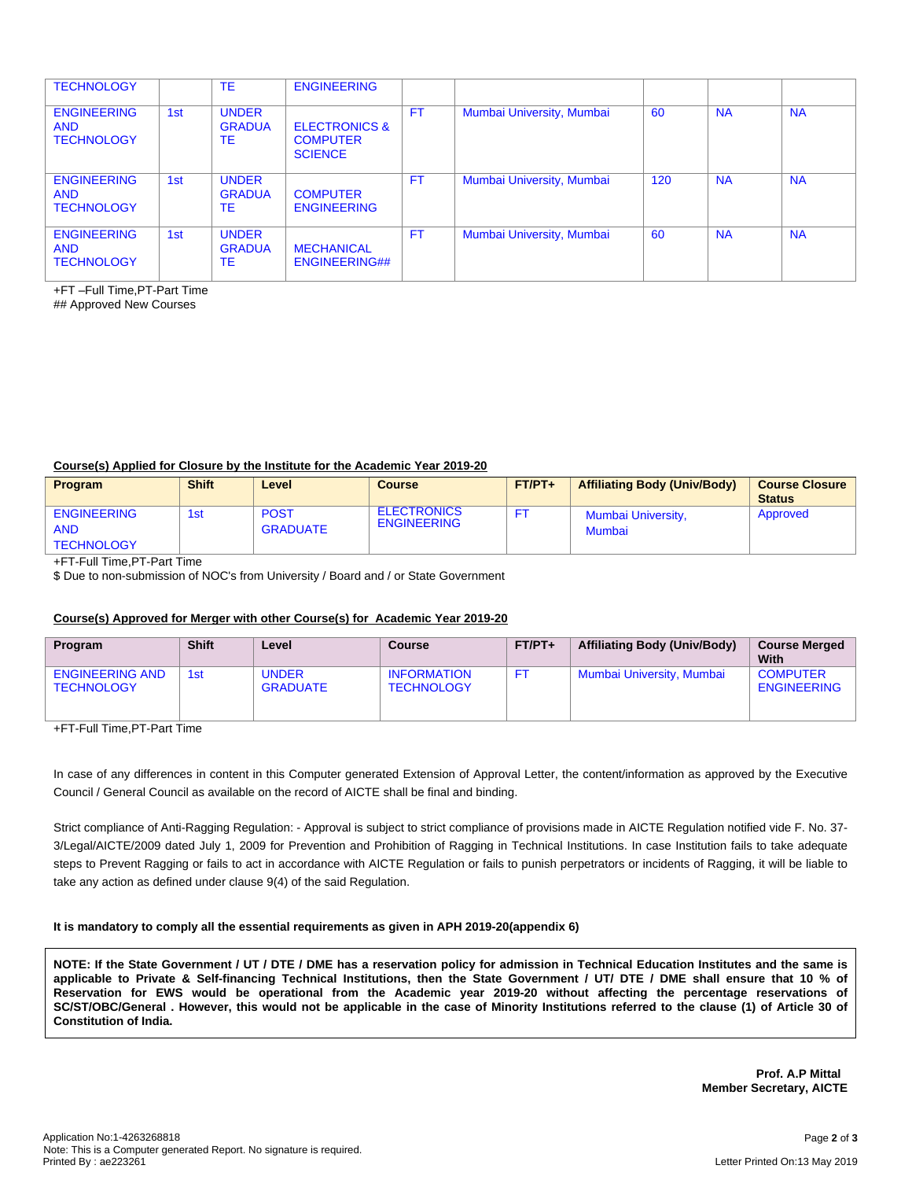| <b>TECHNOLOGY</b>                                     |     | <b>TE</b>                                  | <b>ENGINEERING</b>                                            |           |                           |     |           |           |
|-------------------------------------------------------|-----|--------------------------------------------|---------------------------------------------------------------|-----------|---------------------------|-----|-----------|-----------|
| <b>ENGINEERING</b><br><b>AND</b><br><b>TECHNOLOGY</b> | 1st | <b>UNDER</b><br><b>GRADUA</b><br><b>TE</b> | <b>ELECTRONICS &amp;</b><br><b>COMPUTER</b><br><b>SCIENCE</b> | FT.       | Mumbai University, Mumbai | 60  | <b>NA</b> | <b>NA</b> |
| <b>ENGINEERING</b><br><b>AND</b><br><b>TECHNOLOGY</b> | 1st | <b>UNDER</b><br><b>GRADUA</b><br>TE        | <b>COMPUTER</b><br><b>ENGINEERING</b>                         | <b>FT</b> | Mumbai University, Mumbai | 120 | <b>NA</b> | <b>NA</b> |
| <b>ENGINEERING</b><br><b>AND</b><br><b>TECHNOLOGY</b> | 1st | <b>UNDER</b><br><b>GRADUA</b><br>TE        | <b>MECHANICAL</b><br><b>ENGINEERING##</b>                     | <b>FT</b> | Mumbai University, Mumbai | 60  | <b>NA</b> | <b>NA</b> |

+FT –Full Time,PT-Part Time

## Approved New Courses

#### **Course(s) Applied for Closure by the Institute for the Academic Year 2019-20**

| <b>Program</b>                                        | <b>Shift</b> | Level                          | Course                                   | $FT/PT+$ | <b>Affiliating Body (Univ/Body)</b> | <b>Course Closure</b><br><b>Status</b> |
|-------------------------------------------------------|--------------|--------------------------------|------------------------------------------|----------|-------------------------------------|----------------------------------------|
| <b>ENGINEERING</b><br><b>AND</b><br><b>TECHNOLOGY</b> | 1st          | <b>POST</b><br><b>GRADUATE</b> | <b>ELECTRONICS</b><br><b>ENGINEERING</b> |          | Mumbai University,<br>Mumbai        | Approved                               |

+FT-Full Time,PT-Part Time

\$ Due to non-submission of NOC's from University / Board and / or State Government

## **Course(s) Approved for Merger with other Course(s) for Academic Year 2019-20**

| <b>Program</b>                              | <b>Shift</b> | Level                           | <b>Course</b>                           | $FT/PT+$ | <b>Affiliating Body (Univ/Body)</b> | <b>Course Merged</b><br>With          |
|---------------------------------------------|--------------|---------------------------------|-----------------------------------------|----------|-------------------------------------|---------------------------------------|
| <b>ENGINEERING AND</b><br><b>TECHNOLOGY</b> | 1st          | <b>UNDER</b><br><b>GRADUATE</b> | <b>INFORMATION</b><br><b>TECHNOLOGY</b> | F1       | Mumbai University, Mumbai           | <b>COMPUTER</b><br><b>ENGINEERING</b> |

+FT-Full Time,PT-Part Time

In case of any differences in content in this Computer generated Extension of Approval Letter, the content/information as approved by the Executive Council / General Council as available on the record of AICTE shall be final and binding.

Strict compliance of Anti-Ragging Regulation: - Approval is subject to strict compliance of provisions made in AICTE Regulation notified vide F. No. 37- 3/Legal/AICTE/2009 dated July 1, 2009 for Prevention and Prohibition of Ragging in Technical Institutions. In case Institution fails to take adequate steps to Prevent Ragging or fails to act in accordance with AICTE Regulation or fails to punish perpetrators or incidents of Ragging, it will be liable to take any action as defined under clause 9(4) of the said Regulation.

#### **It is mandatory to comply all the essential requirements as given in APH 2019-20(appendix 6)**

NOTE: If the State Government / UT / DTE / DME has a reservation policy for admission in Technical Education Institutes and the same is applicable to Private & Self-financing Technical Institutions, then the State Government / UT/ DTE / DME shall ensure that 10 % of Reservation for EWS would be operational from the Academic year 2019-20 without affecting the percentage reservations of SC/ST/OBC/General . However, this would not be applicable in the case of Minority Institutions referred to the clause (1) of Article 30 of **Constitution of India.**

> **Prof. A.P Mittal Member Secretary, AICTE**